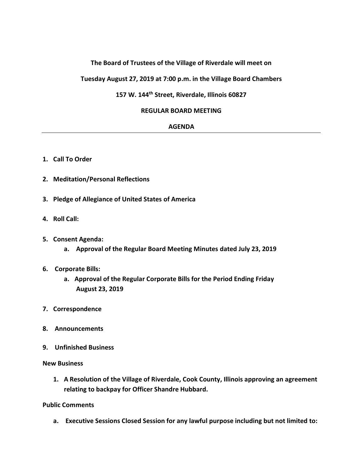# **The Board of Trustees of the Village of Riverdale will meet on**

**Tuesday August 27, 2019 at 7:00 p.m. in the Village Board Chambers**

# **157 W. 144th Street, Riverdale, Illinois 60827**

### **REGULAR BOARD MEETING**

### **AGENDA**

- **1. Call To Order**
- **2. Meditation/Personal Reflections**
- **3. Pledge of Allegiance of United States of America**
- **4. Roll Call:**
- **5. Consent Agenda:**
	- **a. Approval of the Regular Board Meeting Minutes dated July 23, 2019**

#### **6. Corporate Bills:**

- **a. Approval of the Regular Corporate Bills for the Period Ending Friday August 23, 2019**
- **7. Correspondence**
- **8. Announcements**
- **9. Unfinished Business**

#### **New Business**

**1. A Resolution of the Village of Riverdale, Cook County, Illinois approving an agreement relating to backpay for Officer Shandre Hubbard.**

## **Public Comments**

**a. Executive Sessions Closed Session for any lawful purpose including but not limited to:**